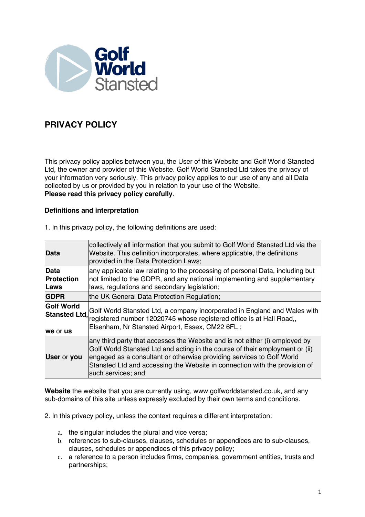

# **PRIVACY POLICY**

This privacy policy applies between you, the User of this Website and Golf World Stansted Ltd, the owner and provider of this Website. Golf World Stansted Ltd takes the privacy of your information very seriously. This privacy policy applies to our use of any and all Data collected by us or provided by you in relation to your use of the Website. **Please read this privacy policy carefully**.

## **Definitions and interpretation**

| <b>Data</b>                          | collectively all information that you submit to Golf World Stansted Ltd via the<br>Website. This definition incorporates, where applicable, the definitions<br>provided in the Data Protection Laws;                                                                                                                                     |
|--------------------------------------|------------------------------------------------------------------------------------------------------------------------------------------------------------------------------------------------------------------------------------------------------------------------------------------------------------------------------------------|
| Data<br>Protection<br><b>Laws</b>    | any applicable law relating to the processing of personal Data, including but<br>not limited to the GDPR, and any national implementing and supplementary<br>laws, regulations and secondary legislation;                                                                                                                                |
| <b>GDPR</b>                          | the UK General Data Protection Regulation;                                                                                                                                                                                                                                                                                               |
| <b>Golf World</b><br><b>We or us</b> | Stansted Ltd, Golf World Stansted Ltd, a company incorporated in England and Wales with<br>Stansted Ltd, registered number 12020745 whose registered office is at Hall Road,<br>Elsenham, Nr Stansted Airport, Essex, CM22 6FL;                                                                                                          |
| <b>User or you</b>                   | any third party that accesses the Website and is not either (i) employed by<br>Golf World Stansted Ltd and acting in the course of their employment or (ii)<br>engaged as a consultant or otherwise providing services to Golf World<br>Stansted Ltd and accessing the Website in connection with the provision of<br>such services; and |

1. In this privacy policy, the following definitions are used:

**Website** the website that you are currently using, www.golfworldstansted.co.uk, and any sub-domains of this site unless expressly excluded by their own terms and conditions.

2. In this privacy policy, unless the context requires a different interpretation:

- a. the singular includes the plural and vice versa;
- b. references to sub-clauses, clauses, schedules or appendices are to sub-clauses, clauses, schedules or appendices of this privacy policy;
- c. a reference to a person includes firms, companies, government entities, trusts and partnerships;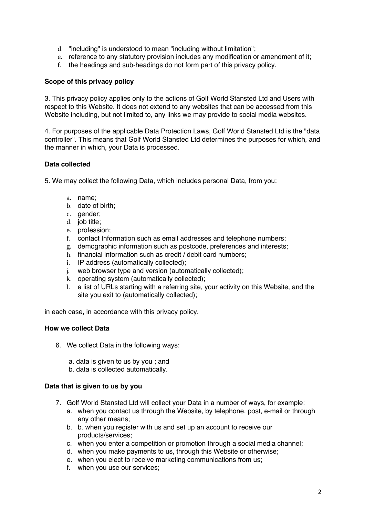- d. "including" is understood to mean "including without limitation";
- e. reference to any statutory provision includes any modification or amendment of it;
- f. the headings and sub-headings do not form part of this privacy policy.

# **Scope of this privacy policy**

3. This privacy policy applies only to the actions of Golf World Stansted Ltd and Users with respect to this Website. It does not extend to any websites that can be accessed from this Website including, but not limited to, any links we may provide to social media websites.

4. For purposes of the applicable Data Protection Laws, Golf World Stansted Ltd is the "data controller". This means that Golf World Stansted Ltd determines the purposes for which, and the manner in which, your Data is processed.

# **Data collected**

5. We may collect the following Data, which includes personal Data, from you:

- a. name;
- b. date of birth;
- c. gender;
- d. job title;
- e. profession;
- f. contact Information such as email addresses and telephone numbers;
- g. demographic information such as postcode, preferences and interests;
- h. financial information such as credit / debit card numbers;
- i. IP address (automatically collected);
- j. web browser type and version (automatically collected);
- k. operating system (automatically collected);
- l. a list of URLs starting with a referring site, your activity on this Website, and the site you exit to (automatically collected);

in each case, in accordance with this privacy policy.

# **How we collect Data**

- 6. We collect Data in the following ways:
	- a. data is given to us by you ; and
	- b. data is collected automatically.

#### **Data that is given to us by you**

- 7. Golf World Stansted Ltd will collect your Data in a number of ways, for example:
	- a. when you contact us through the Website, by telephone, post, e-mail or through any other means;
	- b. b. when you register with us and set up an account to receive our products/services;
	- c. when you enter a competition or promotion through a social media channel;
	- d. when you make payments to us, through this Website or otherwise;
	- e. when you elect to receive marketing communications from us;
	- f. when you use our services;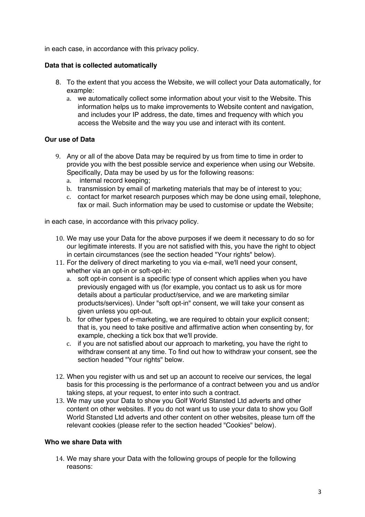in each case, in accordance with this privacy policy.

## **Data that is collected automatically**

- 8. To the extent that you access the Website, we will collect your Data automatically, for example:
	- a. we automatically collect some information about your visit to the Website. This information helps us to make improvements to Website content and navigation, and includes your IP address, the date, times and frequency with which you access the Website and the way you use and interact with its content.

# **Our use of Data**

- 9. Any or all of the above Data may be required by us from time to time in order to provide you with the best possible service and experience when using our Website. Specifically, Data may be used by us for the following reasons:
	- a. internal record keeping;
	- b. transmission by email of marketing materials that may be of interest to you;
	- c. contact for market research purposes which may be done using email, telephone, fax or mail. Such information may be used to customise or update the Website;

in each case, in accordance with this privacy policy.

- 10. We may use your Data for the above purposes if we deem it necessary to do so for our legitimate interests. If you are not satisfied with this, you have the right to object in certain circumstances (see the section headed "Your rights" below).
- 11. For the delivery of direct marketing to you via e-mail, we'll need your consent, whether via an opt-in or soft-opt-in:
	- a. soft opt-in consent is a specific type of consent which applies when you have previously engaged with us (for example, you contact us to ask us for more details about a particular product/service, and we are marketing similar products/services). Under "soft opt-in" consent, we will take your consent as given unless you opt-out.
	- b. for other types of e-marketing, we are required to obtain your explicit consent; that is, you need to take positive and affirmative action when consenting by, for example, checking a tick box that we'll provide.
	- c. if you are not satisfied about our approach to marketing, you have the right to withdraw consent at any time. To find out how to withdraw your consent, see the section headed "Your rights" below.
- 12. When you register with us and set up an account to receive our services, the legal basis for this processing is the performance of a contract between you and us and/or taking steps, at your request, to enter into such a contract.
- 13. We may use your Data to show you Golf World Stansted Ltd adverts and other content on other websites. If you do not want us to use your data to show you Golf World Stansted Ltd adverts and other content on other websites, please turn off the relevant cookies (please refer to the section headed "Cookies" below).

## **Who we share Data with**

14. We may share your Data with the following groups of people for the following reasons: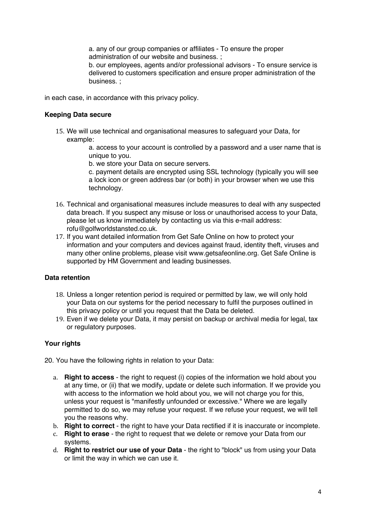a. any of our group companies or affiliates - To ensure the proper administration of our website and business. ;

b. our employees, agents and/or professional advisors - To ensure service is delivered to customers specification and ensure proper administration of the business. ;

in each case, in accordance with this privacy policy.

# **Keeping Data secure**

15. We will use technical and organisational measures to safeguard your Data, for example:

> a. access to your account is controlled by a password and a user name that is unique to you.

b. we store your Data on secure servers.

c. payment details are encrypted using SSL technology (typically you will see a lock icon or green address bar (or both) in your browser when we use this technology.

- 16. Technical and organisational measures include measures to deal with any suspected data breach. If you suspect any misuse or loss or unauthorised access to your Data, please let us know immediately by contacting us via this e-mail address: rofu@golfworldstansted.co.uk.
- 17. If you want detailed information from Get Safe Online on how to protect your information and your computers and devices against fraud, identity theft, viruses and many other online problems, please visit www.getsafeonline.org. Get Safe Online is supported by HM Government and leading businesses.

## **Data retention**

- 18. Unless a longer retention period is required or permitted by law, we will only hold your Data on our systems for the period necessary to fulfil the purposes outlined in this privacy policy or until you request that the Data be deleted.
- 19. Even if we delete your Data, it may persist on backup or archival media for legal, tax or regulatory purposes.

# **Your rights**

20. You have the following rights in relation to your Data:

- a. **Right to access**  the right to request (i) copies of the information we hold about you at any time, or (ii) that we modify, update or delete such information. If we provide you with access to the information we hold about you, we will not charge you for this, unless your request is "manifestly unfounded or excessive." Where we are legally permitted to do so, we may refuse your request. If we refuse your request, we will tell you the reasons why.
- b. **Right to correct**  the right to have your Data rectified if it is inaccurate or incomplete.
- c. **Right to erase**  the right to request that we delete or remove your Data from our systems.
- d. **Right to restrict our use of your Data**  the right to "block" us from using your Data or limit the way in which we can use it.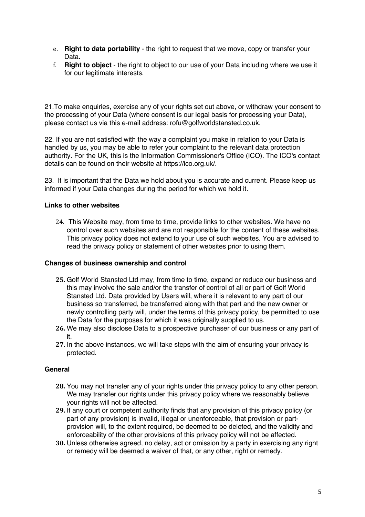- e. **Right to data portability**  the right to request that we move, copy or transfer your Data.
- f. **Right to object**  the right to object to our use of your Data including where we use it for our legitimate interests.

21.To make enquiries, exercise any of your rights set out above, or withdraw your consent to the processing of your Data (where consent is our legal basis for processing your Data), please contact us via this e-mail address: rofu@golfworldstansted.co.uk.

22. If you are not satisfied with the way a complaint you make in relation to your Data is handled by us, you may be able to refer your complaint to the relevant data protection authority. For the UK, this is the Information Commissioner's Office (ICO). The ICO's contact details can be found on their website at https://ico.org.uk/.

23. It is important that the Data we hold about you is accurate and current. Please keep us informed if your Data changes during the period for which we hold it.

## **Links to other websites**

24. This Website may, from time to time, provide links to other websites. We have no control over such websites and are not responsible for the content of these websites. This privacy policy does not extend to your use of such websites. You are advised to read the privacy policy or statement of other websites prior to using them.

#### **Changes of business ownership and control**

- **25.** Golf World Stansted Ltd may, from time to time, expand or reduce our business and this may involve the sale and/or the transfer of control of all or part of Golf World Stansted Ltd. Data provided by Users will, where it is relevant to any part of our business so transferred, be transferred along with that part and the new owner or newly controlling party will, under the terms of this privacy policy, be permitted to use the Data for the purposes for which it was originally supplied to us.
- **26.** We may also disclose Data to a prospective purchaser of our business or any part of it.
- **27.** In the above instances, we will take steps with the aim of ensuring your privacy is protected.

#### **General**

- **28.** You may not transfer any of your rights under this privacy policy to any other person. We may transfer our rights under this privacy policy where we reasonably believe your rights will not be affected.
- **29.** If any court or competent authority finds that any provision of this privacy policy (or part of any provision) is invalid, illegal or unenforceable, that provision or partprovision will, to the extent required, be deemed to be deleted, and the validity and enforceability of the other provisions of this privacy policy will not be affected.
- **30.** Unless otherwise agreed, no delay, act or omission by a party in exercising any right or remedy will be deemed a waiver of that, or any other, right or remedy.